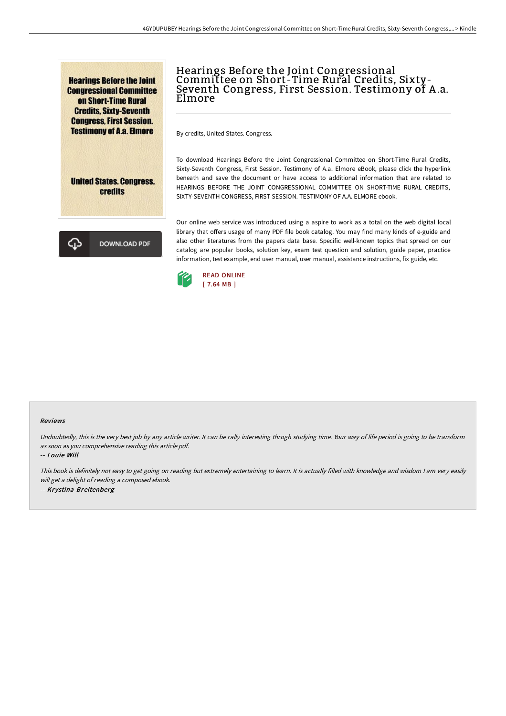**Hearings Before the Joint Congressional Committee** on Short-Time Rural **Credits, Sixty-Seventh Congress, First Session. Testimony of A.a. Elmore** 



Hearings Before the Joint Congressional Committee on Short-Time Rural Credits, Sixty-Seventh Congress, First Session. Testimony of A .a. Elmore

By credits, United States. Congress.

To download Hearings Before the Joint Congressional Committee on Short-Time Rural Credits, Sixty-Seventh Congress, First Session. Testimony of A.a. Elmore eBook, please click the hyperlink beneath and save the document or have access to additional information that are related to HEARINGS BEFORE THE JOINT CONGRESSIONAL COMMITTEE ON SHORT-TIME RURAL CREDITS, SIXTY-SEVENTH CONGRESS, FIRST SESSION. TESTIMONY OF A.A. ELMORE ebook.

**DOWNLOAD PDF** 

Our online web service was introduced using a aspire to work as a total on the web digital local library that offers usage of many PDF file book catalog. You may find many kinds of e-guide and also other literatures from the papers data base. Specific well-known topics that spread on our catalog are popular books, solution key, exam test question and solution, guide paper, practice information, test example, end user manual, user manual, assistance instructions, fix guide, etc.



## Reviews

Undoubtedly, this is the very best job by any article writer. It can be rally interesting throgh studying time. Your way of life period is going to be transform as soon as you comprehensive reading this article pdf.

-- Louie Will

This book is definitely not easy to get going on reading but extremely entertaining to learn. It is actually filled with knowledge and wisdom <sup>I</sup> am very easily will get <sup>a</sup> delight of reading <sup>a</sup> composed ebook. -- Krystina Breitenberg